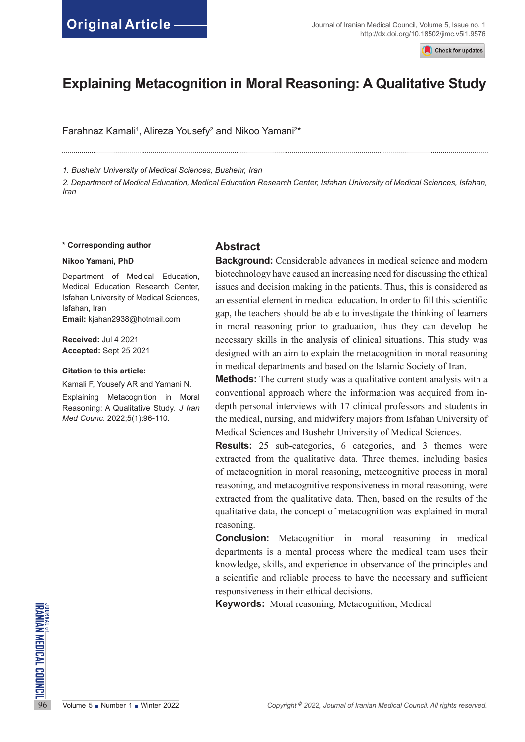Check for updates

# **Explaining Metacognition in Moral Reasoning: A Qualitative Study**

Farahnaz Kamali<sup>1</sup>, Alireza Yousefy<sup>2</sup> and Nikoo Yamani<sup>2\*</sup>

*1. Bushehr University of Medical Sciences, Bushehr, Iran*

*2. Department of Medical Education, Medical Education Research Center, Isfahan University of Medical Sciences, Isfahan, Iran*

#### **\* Corresponding author**

#### **Nikoo Yamani, PhD**

Department of Medical Education, Medical Education Research Center, Isfahan University of Medical Sciences, Isfahan, Iran **Email:** kjahan2938@hotmail.com

**Received:** Jul 4 2021 **Accepted:** Sept 25 2021

#### **Citation to this article:**

Kamali F, Yousefy AR and Yamani N. Explaining Metacognition in Moral Reasoning: A Qualitative Study*. J Iran Med Counc*. 2022;5(1):96-110.

## **Abstract**

**Background:** Considerable advances in medical science and modern biotechnology have caused an increasing need for discussing the ethical issues and decision making in the patients. Thus, this is considered as an essential element in medical education. In order to fill this scientific gap, the teachers should be able to investigate the thinking of learners in moral reasoning prior to graduation, thus they can develop the necessary skills in the analysis of clinical situations. This study was designed with an aim to explain the metacognition in moral reasoning in medical departments and based on the Islamic Society of Iran.

**Methods:** The current study was a qualitative content analysis with a conventional approach where the information was acquired from indepth personal interviews with 17 clinical professors and students in the medical, nursing, and midwifery majors from Isfahan University of Medical Sciences and Bushehr University of Medical Sciences.

**Results:** 25 sub-categories, 6 categories, and 3 themes were extracted from the qualitative data. Three themes, including basics of metacognition in moral reasoning, metacognitive process in moral reasoning, and metacognitive responsiveness in moral reasoning, were extracted from the qualitative data. Then, based on the results of the qualitative data, the concept of metacognition was explained in moral reasoning.

**Conclusion:** Metacognition in moral reasoning in medical departments is a mental process where the medical team uses their knowledge, skills, and experience in observance of the principles and a scientific and reliable process to have the necessary and sufficient responsiveness in their ethical decisions.

**Keywords:** Moral reasoning, Metacognition, Medical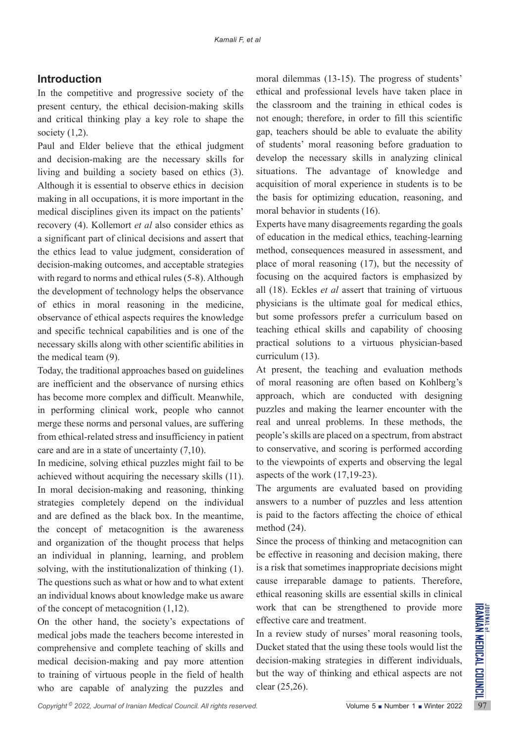## **Introduction**

In the competitive and progressive society of the present century, the ethical decision-making skills and critical thinking play a key role to shape the society  $(1,2)$ .

Paul and Elder believe that the ethical judgment and decision-making are the necessary skills for living and building a society based on ethics (3). Although it is essential to observe ethics in decision making in all occupations, it is more important in the medical disciplines given its impact on the patients' recovery (4). Kollemort *et al* also consider ethics as a significant part of clinical decisions and assert that the ethics lead to value judgment, consideration of decision-making outcomes, and acceptable strategies with regard to norms and ethical rules (5-8). Although the development of technology helps the observance of ethics in moral reasoning in the medicine, observance of ethical aspects requires the knowledge and specific technical capabilities and is one of the necessary skills along with other scientific abilities in the medical team (9).

Today, the traditional approaches based on guidelines are inefficient and the observance of nursing ethics has become more complex and difficult. Meanwhile, in performing clinical work, people who cannot merge these norms and personal values, are suffering from ethical-related stress and insufficiency in patient care and are in a state of uncertainty (7,10).

In medicine, solving ethical puzzles might fail to be achieved without acquiring the necessary skills (11). In moral decision-making and reasoning, thinking strategies completely depend on the individual and are defined as the black box. In the meantime, the concept of metacognition is the awareness and organization of the thought process that helps an individual in planning, learning, and problem solving, with the institutionalization of thinking (1). The questions such as what or how and to what extent an individual knows about knowledge make us aware of the concept of metacognition (1,12).

of the concept of metacognition (1,12). work that can be strengthened to provide more<br>
On the other hand, the society's expectations of effective care and treatment.<br>
medical jobs made the teachers become interested in In On the other hand, the society's expectations of medical jobs made the teachers become interested in comprehensive and complete teaching of skills and medical decision-making and pay more attention to training of virtuous people in the field of health who are capable of analyzing the puzzles and

moral dilemmas (13-15). The progress of students' ethical and professional levels have taken place in the classroom and the training in ethical codes is not enough; therefore, in order to fill this scientific gap, teachers should be able to evaluate the ability of students' moral reasoning before graduation to develop the necessary skills in analyzing clinical situations. The advantage of knowledge and acquisition of moral experience in students is to be the basis for optimizing education, reasoning, and moral behavior in students (16).

Experts have many disagreements regarding the goals of education in the medical ethics, teaching-learning method, consequences measured in assessment, and place of moral reasoning (17), but the necessity of focusing on the acquired factors is emphasized by all (18). Eckles *et al* assert that training of virtuous physicians is the ultimate goal for medical ethics, but some professors prefer a curriculum based on teaching ethical skills and capability of choosing practical solutions to a virtuous physician-based curriculum (13).

At present, the teaching and evaluation methods of moral reasoning are often based on Kohlberg's approach, which are conducted with designing puzzles and making the learner encounter with the real and unreal problems. In these methods, the people's skills are placed on a spectrum, from abstract to conservative, and scoring is performed according to the viewpoints of experts and observing the legal aspects of the work (17,19-23).

The arguments are evaluated based on providing answers to a number of puzzles and less attention is paid to the factors affecting the choice of ethical method (24).

Since the process of thinking and metacognition can be effective in reasoning and decision making, there is a risk that sometimes inappropriate decisions might cause irreparable damage to patients. Therefore, ethical reasoning skills are essential skills in clinical work that can be strengthened to provide more effective care and treatment.

In a review study of nurses' moral reasoning tools, Ducket stated that the using these tools would list the decision-making strategies in different individuals, but the way of thinking and ethical aspects are not clear (25,26).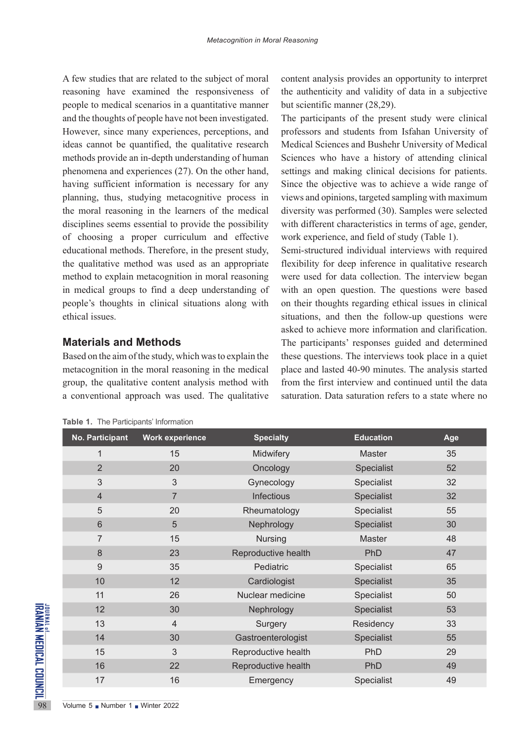A few studies that are related to the subject of moral reasoning have examined the responsiveness of people to medical scenarios in a quantitative manner and the thoughts of people have not been investigated. However, since many experiences, perceptions, and ideas cannot be quantified, the qualitative research methods provide an in-depth understanding of human phenomena and experiences (27). On the other hand, having sufficient information is necessary for any planning, thus, studying metacognitive process in the moral reasoning in the learners of the medical disciplines seems essential to provide the possibility of choosing a proper curriculum and effective educational methods. Therefore, in the present study, the qualitative method was used as an appropriate method to explain metacognition in moral reasoning in medical groups to find a deep understanding of people's thoughts in clinical situations along with ethical issues.

## **Materials and Methods**

Based on the aim of the study, which was to explain the metacognition in the moral reasoning in the medical group, the qualitative content analysis method with a conventional approach was used. The qualitative content analysis provides an opportunity to interpret the authenticity and validity of data in a subjective but scientific manner (28,29).

The participants of the present study were clinical professors and students from Isfahan University of Medical Sciences and Bushehr University of Medical Sciences who have a history of attending clinical settings and making clinical decisions for patients. Since the objective was to achieve a wide range of views and opinions, targeted sampling with maximum diversity was performed (30). Samples were selected with different characteristics in terms of age, gender, work experience, and field of study (Table 1).

Semi-structured individual interviews with required flexibility for deep inference in qualitative research were used for data collection. The interview began with an open question. The questions were based on their thoughts regarding ethical issues in clinical situations, and then the follow-up questions were asked to achieve more information and clarification. The participants' responses guided and determined these questions. The interviews took place in a quiet place and lasted 40-90 minutes. The analysis started from the first interview and continued until the data saturation. Data saturation refers to a state where no

| <b>No. Participant</b>                                                                   | <b>Work experience</b> | <b>Specialty</b>    | <b>Education</b> | Age |
|------------------------------------------------------------------------------------------|------------------------|---------------------|------------------|-----|
| $\overline{1}$                                                                           | 15                     | Midwifery           | <b>Master</b>    | 35  |
| $\overline{2}$                                                                           | 20                     | Oncology            | Specialist       | 52  |
| 3                                                                                        | 3                      | Gynecology          | Specialist       | 32  |
| $\overline{4}$                                                                           | $\overline{7}$         | Infectious          | Specialist       | 32  |
| 5                                                                                        | 20                     | Rheumatology        | Specialist       | 55  |
| 6                                                                                        | 5                      | Nephrology          | Specialist       | 30  |
| 7                                                                                        | 15                     | <b>Nursing</b>      | Master           | 48  |
| 8                                                                                        | 23                     | Reproductive health | PhD              | 47  |
| 9                                                                                        | 35                     | Pediatric           | Specialist       | 65  |
| 10                                                                                       | 12                     | Cardiologist        | Specialist       | 35  |
| 11                                                                                       | 26                     | Nuclear medicine    | Specialist       | 50  |
| 12                                                                                       | 30                     | Nephrology          | Specialist       | 53  |
| 13                                                                                       | 4                      | Surgery             | Residency        | 33  |
| 14                                                                                       | 30                     | Gastroenterologist  | Specialist       | 55  |
| 15                                                                                       | 3                      | Reproductive health | PhD              | 29  |
| 16                                                                                       | 22                     | Reproductive health | PhD              | 49  |
| 17                                                                                       | 16                     | Emergency           | Specialist       | 49  |
| <b>JONAL MEDICAL COUNCIL</b><br>IRANIAN MEDICAL COUNCIL<br>Volume 5 Number 1 Winter 2022 |                        |                     |                  |     |

**Table 1.** The Participants' Information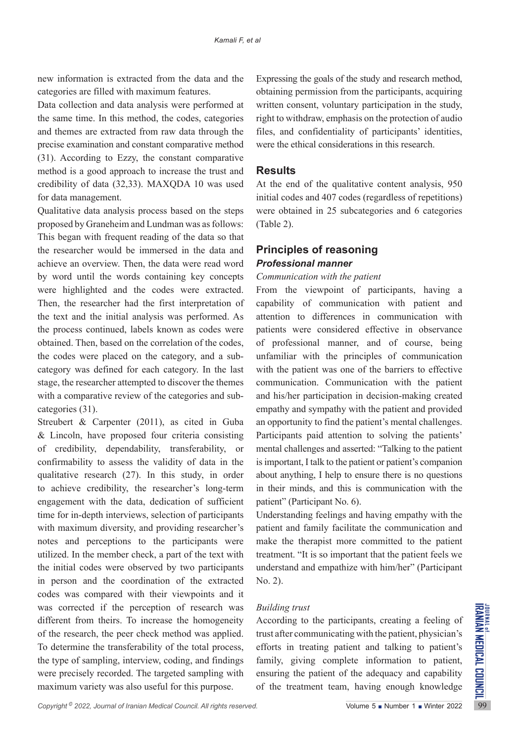new information is extracted from the data and the categories are filled with maximum features.

Data collection and data analysis were performed at the same time. In this method, the codes, categories and themes are extracted from raw data through the precise examination and constant comparative method (31). According to Ezzy, the constant comparative method is a good approach to increase the trust and credibility of data (32,33). MAXQDA 10 was used for data management.

Qualitative data analysis process based on the steps proposed by Graneheim and Lundman was as follows: This began with frequent reading of the data so that the researcher would be immersed in the data and achieve an overview. Then, the data were read word by word until the words containing key concepts were highlighted and the codes were extracted. Then, the researcher had the first interpretation of the text and the initial analysis was performed. As the process continued, labels known as codes were obtained. Then, based on the correlation of the codes, the codes were placed on the category, and a subcategory was defined for each category. In the last stage, the researcher attempted to discover the themes with a comparative review of the categories and subcategories (31).

was corrected if the perception of research was *Building trust*<br>different from theirs. To increase the homogeneity According to the participants, creating a feeling of<br>of the research, the peer check method was applied. Streubert & Carpenter (2011), as cited in Guba & Lincoln, have proposed four criteria consisting of credibility, dependability, transferability, or confirmability to assess the validity of data in the qualitative research (27). In this study, in order to achieve credibility, the researcher's long-term engagement with the data, dedication of sufficient time for in-depth interviews, selection of participants with maximum diversity, and providing researcher's notes and perceptions to the participants were utilized. In the member check, a part of the text with the initial codes were observed by two participants in person and the coordination of the extracted codes was compared with their viewpoints and it was corrected if the perception of research was different from theirs. To increase the homogeneity of the research, the peer check method was applied. To determine the transferability of the total process, the type of sampling, interview, coding, and findings were precisely recorded. The targeted sampling with maximum variety was also useful for this purpose.

Expressing the goals of the study and research method, obtaining permission from the participants, acquiring written consent, voluntary participation in the study, right to withdraw, emphasis on the protection of audio files, and confidentiality of participants' identities, were the ethical considerations in this research.

## **Results**

At the end of the qualitative content analysis, 950 initial codes and 407 codes (regardless of repetitions) were obtained in 25 subcategories and 6 categories (Table 2).

## **Principles of reasoning** *Professional manner*

#### *Communication with the patient*

From the viewpoint of participants, having a capability of communication with patient and attention to differences in communication with patients were considered effective in observance of professional manner, and of course, being unfamiliar with the principles of communication with the patient was one of the barriers to effective communication. Communication with the patient and his/her participation in decision-making created empathy and sympathy with the patient and provided an opportunity to find the patient's mental challenges. Participants paid attention to solving the patients' mental challenges and asserted: "Talking to the patient is important, I talk to the patient or patient's companion about anything, I help to ensure there is no questions in their minds, and this is communication with the patient" (Participant No. 6).

Understanding feelings and having empathy with the patient and family facilitate the communication and make the therapist more committed to the patient treatment. "It is so important that the patient feels we understand and empathize with him/her" (Participant No. 2).

#### *Building trust*

According to the participants, creating a feeling of trust after communicating with the patient, physician's efforts in treating patient and talking to patient's family, giving complete information to patient, ensuring the patient of the adequacy and capability of the treatment team, having enough knowledge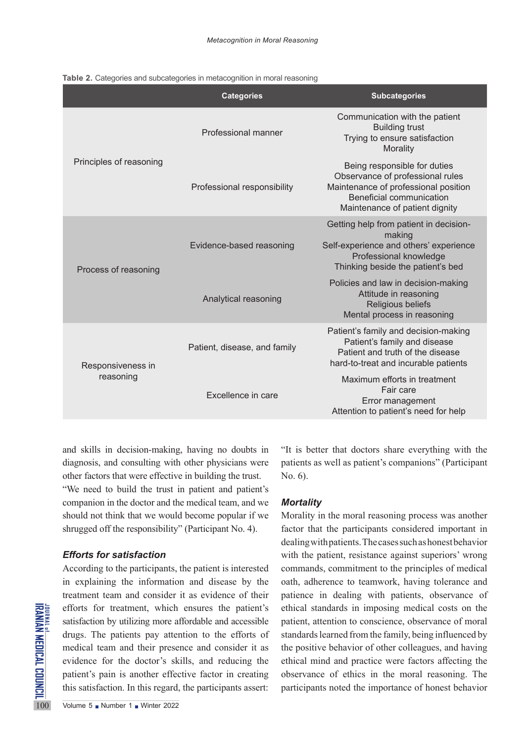|  |  |  |  | Table 2. Categories and subcategories in metacognition in moral reasoning |
|--|--|--|--|---------------------------------------------------------------------------|
|--|--|--|--|---------------------------------------------------------------------------|

|                                | <b>Categories</b>            | <b>Subcategories</b>                                                                                                                                                   |
|--------------------------------|------------------------------|------------------------------------------------------------------------------------------------------------------------------------------------------------------------|
| Principles of reasoning        | Professional manner          | Communication with the patient<br><b>Building trust</b><br>Trying to ensure satisfaction<br>Morality                                                                   |
|                                | Professional responsibility  | Being responsible for duties<br>Observance of professional rules<br>Maintenance of professional position<br>Beneficial communication<br>Maintenance of patient dignity |
| Process of reasoning           | Evidence-based reasoning     | Getting help from patient in decision-<br>making<br>Self-experience and others' experience<br>Professional knowledge<br>Thinking beside the patient's bed              |
|                                | Analytical reasoning         | Policies and law in decision-making<br>Attitude in reasoning<br>Religious beliefs<br>Mental process in reasoning                                                       |
| Responsiveness in<br>reasoning | Patient, disease, and family | Patient's family and decision-making<br>Patient's family and disease<br>Patient and truth of the disease<br>hard-to-treat and incurable patients                       |
|                                | Excellence in care           | Maximum efforts in treatment<br>Fair care<br>Error management<br>Attention to patient's need for help                                                                  |

and skills in decision-making, having no doubts in diagnosis, and consulting with other physicians were other factors that were effective in building the trust. "We need to build the trust in patient and patient's companion in the doctor and the medical team, and we should not think that we would become popular if we shrugged off the responsibility" (Participant No. 4).

## *Efforts for satisfaction*

EXECUTE THE SALEST EXERCISE THE SALEST ENTIRED THE SALEST ENTIRED THE PAIR CONTROLLED THE PRICE OF THE SALEST PRICE THE SALEST PRICE THE SALEST THE SALEST THE SALEST THE SALEST THE SALEST THE SALEST THE SALEST THE SALEST T According to the participants, the patient is interested in explaining the information and disease by the treatment team and consider it as evidence of their efforts for treatment, which ensures the patient's satisfaction by utilizing more affordable and accessible drugs. The patients pay attention to the efforts of medical team and their presence and consider it as evidence for the doctor's skills, and reducing the patient's pain is another effective factor in creating this satisfaction. In this regard, the participants assert:

"It is better that doctors share everything with the patients as well as patient's companions" (Participant No. 6).

#### *Mortality*

Morality in the moral reasoning process was another factor that the participants considered important in dealing with patients. The cases such as honest behavior with the patient, resistance against superiors' wrong commands, commitment to the principles of medical oath, adherence to teamwork, having tolerance and patience in dealing with patients, observance of ethical standards in imposing medical costs on the patient, attention to conscience, observance of moral standards learned from the family, being influenced by the positive behavior of other colleagues, and having ethical mind and practice were factors affecting the observance of ethics in the moral reasoning. The participants noted the importance of honest behavior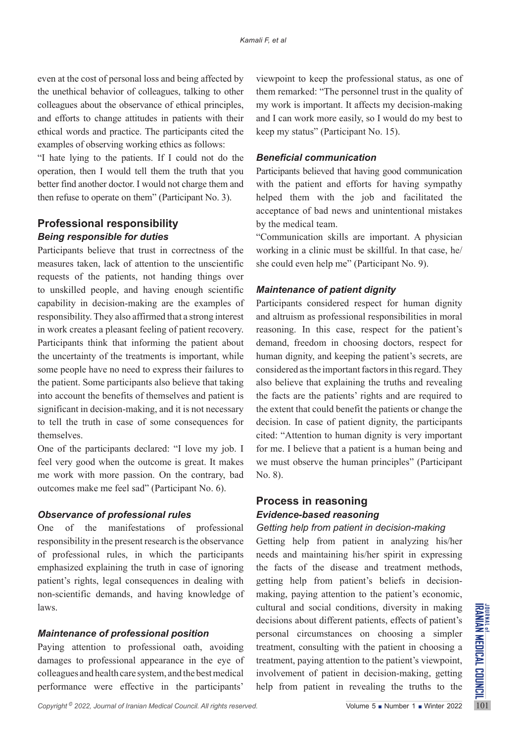even at the cost of personal loss and being affected by the unethical behavior of colleagues, talking to other colleagues about the observance of ethical principles, and efforts to change attitudes in patients with their ethical words and practice. The participants cited the examples of observing working ethics as follows:

"I hate lying to the patients. If I could not do the operation, then I would tell them the truth that you better find another doctor. I would not charge them and then refuse to operate on them" (Participant No. 3).

## **Professional responsibility** *Being responsible for duties*

Participants believe that trust in correctness of the measures taken, lack of attention to the unscientific requests of the patients, not handing things over to unskilled people, and having enough scientific capability in decision-making are the examples of responsibility. They also affirmed that a strong interest in work creates a pleasant feeling of patient recovery. Participants think that informing the patient about the uncertainty of the treatments is important, while some people have no need to express their failures to the patient. Some participants also believe that taking into account the benefits of themselves and patient is significant in decision-making, and it is not necessary to tell the truth in case of some consequences for themselves.

One of the participants declared: "I love my job. I feel very good when the outcome is great. It makes me work with more passion. On the contrary, bad outcomes make me feel sad" (Participant No. 6).

## *Observance of professional rules*

One of the manifestations of professional responsibility in the present research is the observance of professional rules, in which the participants emphasized explaining the truth in case of ignoring patient's rights, legal consequences in dealing with non-scientific demands, and having knowledge of laws.

## *Maintenance of professional position*

Paying attention to professional oath, avoiding damages to professional appearance in the eye of colleagues and health care system, and the best medical performance were effective in the participants'

viewpoint to keep the professional status, as one of them remarked: "The personnel trust in the quality of my work is important. It affects my decision-making and I can work more easily, so I would do my best to keep my status" (Participant No. 15).

#### *Beneficial communication*

Participants believed that having good communication with the patient and efforts for having sympathy helped them with the job and facilitated the acceptance of bad news and unintentional mistakes by the medical team.

"Communication skills are important. A physician working in a clinic must be skillful. In that case, he/ she could even help me" (Participant No. 9).

## *Maintenance of patient dignity*

Participants considered respect for human dignity and altruism as professional responsibilities in moral reasoning. In this case, respect for the patient's demand, freedom in choosing doctors, respect for human dignity, and keeping the patient's secrets, are considered as the important factors in this regard. They also believe that explaining the truths and revealing the facts are the patients' rights and are required to the extent that could benefit the patients or change the decision. In case of patient dignity, the participants cited: "Attention to human dignity is very important for me. I believe that a patient is a human being and we must observe the human principles" (Participant No. 8).

## **Process in reasoning** *Evidence-based reasoning*

## *Getting help from patient in decision-making*

*Copyright*<sup>®</sup> 2022, *Journal of Iranian Medical Council. All rights reserved.<br>
<i>Copyright*<sup>®</sup> 2022, *Journal of Iranian Medical Council. All rights reserved.<br> Copyright<sup>®</sup> 2022, <i>Journal of Iranian Medical Council. All* Getting help from patient in analyzing his/her needs and maintaining his/her spirit in expressing the facts of the disease and treatment methods, getting help from patient's beliefs in decisionmaking, paying attention to the patient's economic, cultural and social conditions, diversity in making decisions about different patients, effects of patient's personal circumstances on choosing a simpler treatment, consulting with the patient in choosing a treatment, paying attention to the patient's viewpoint, involvement of patient in decision-making, getting help from patient in revealing the truths to the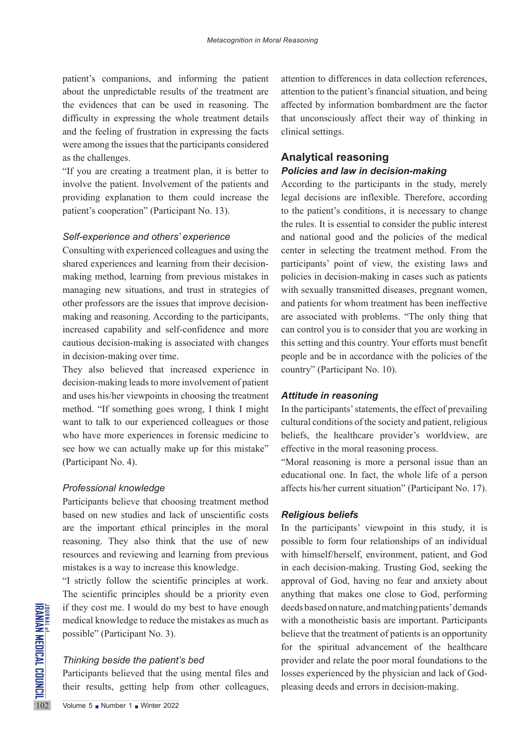patient's companions, and informing the patient about the unpredictable results of the treatment are the evidences that can be used in reasoning. The difficulty in expressing the whole treatment details and the feeling of frustration in expressing the facts were among the issues that the participants considered as the challenges.

"If you are creating a treatment plan, it is better to involve the patient. Involvement of the patients and providing explanation to them could increase the patient's cooperation" (Participant No. 13).

#### *Self-experience and others' experience*

Consulting with experienced colleagues and using the shared experiences and learning from their decisionmaking method, learning from previous mistakes in managing new situations, and trust in strategies of other professors are the issues that improve decisionmaking and reasoning. According to the participants, increased capability and self-confidence and more cautious decision-making is associated with changes in decision-making over time.

They also believed that increased experience in decision-making leads to more involvement of patient and uses his/her viewpoints in choosing the treatment method. "If something goes wrong, I think I might want to talk to our experienced colleagues or those who have more experiences in forensic medicine to see how we can actually make up for this mistake" (Participant No. 4).

### *Professional knowledge*

Participants believe that choosing treatment method based on new studies and lack of unscientific costs are the important ethical principles in the moral reasoning. They also think that the use of new resources and reviewing and learning from previous mistakes is a way to increase this knowledge.

THE IS IT they cost me. I would do m<br>
medical knowledge to reduce t<br>
possible" (Participant No. 3).<br>
Thinking beside the patient<br>
Participants believed that the<br>
their results, getting help fi<br>
Volume 5 Number 1 Number 202 "I strictly follow the scientific principles at work. The scientific principles should be a priority even if they cost me. I would do my best to have enough medical knowledge to reduce the mistakes as much as possible" (Participant No. 3).

### *Thinking beside the patient's bed*

Participants believed that the using mental files and their results, getting help from other colleagues, attention to differences in data collection references, attention to the patient's financial situation, and being affected by information bombardment are the factor that unconsciously affect their way of thinking in clinical settings.

## **Analytical reasoning** *Policies and law in decision-making*

According to the participants in the study, merely legal decisions are inflexible. Therefore, according to the patient's conditions, it is necessary to change the rules. It is essential to consider the public interest and national good and the policies of the medical center in selecting the treatment method. From the participants' point of view, the existing laws and policies in decision-making in cases such as patients with sexually transmitted diseases, pregnant women, and patients for whom treatment has been ineffective are associated with problems. "The only thing that can control you is to consider that you are working in this setting and this country. Your efforts must benefit people and be in accordance with the policies of the country" (Participant No. 10).

#### *Attitude in reasoning*

In the participants' statements, the effect of prevailing cultural conditions of the society and patient, religious beliefs, the healthcare provider's worldview, are effective in the moral reasoning process.

"Moral reasoning is more a personal issue than an educational one. In fact, the whole life of a person affects his/her current situation" (Participant No. 17).

### *Religious beliefs*

In the participants' viewpoint in this study, it is possible to form four relationships of an individual with himself/herself, environment, patient, and God in each decision-making. Trusting God, seeking the approval of God, having no fear and anxiety about anything that makes one close to God, performing deeds based on nature, and matching patients' demands with a monotheistic basis are important. Participants believe that the treatment of patients is an opportunity for the spiritual advancement of the healthcare provider and relate the poor moral foundations to the losses experienced by the physician and lack of Godpleasing deeds and errors in decision-making.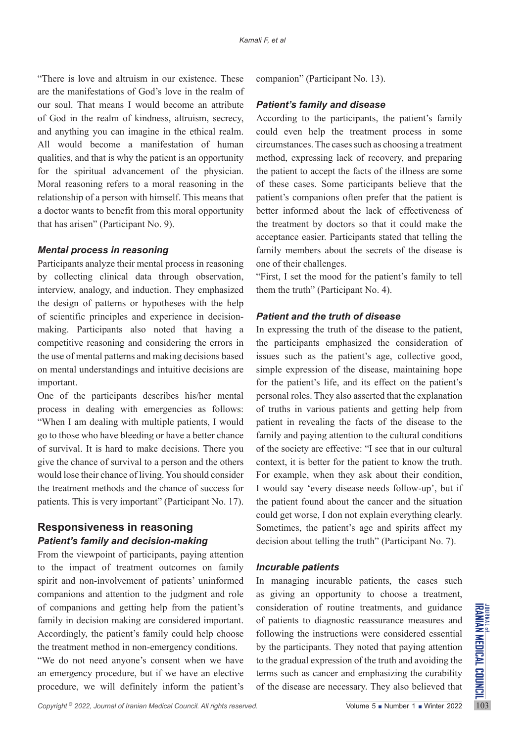"There is love and altruism in our existence. These are the manifestations of God's love in the realm of our soul. That means I would become an attribute of God in the realm of kindness, altruism, secrecy, and anything you can imagine in the ethical realm. All would become a manifestation of human qualities, and that is why the patient is an opportunity for the spiritual advancement of the physician. Moral reasoning refers to a moral reasoning in the relationship of a person with himself. This means that a doctor wants to benefit from this moral opportunity that has arisen" (Participant No. 9).

#### *Mental process in reasoning*

Participants analyze their mental process in reasoning by collecting clinical data through observation, interview, analogy, and induction. They emphasized the design of patterns or hypotheses with the help of scientific principles and experience in decisionmaking. Participants also noted that having a competitive reasoning and considering the errors in the use of mental patterns and making decisions based on mental understandings and intuitive decisions are important.

One of the participants describes his/her mental process in dealing with emergencies as follows: "When I am dealing with multiple patients, I would go to those who have bleeding or have a better chance of survival. It is hard to make decisions. There you give the chance of survival to a person and the others would lose their chance of living. You should consider the treatment methods and the chance of success for patients. This is very important" (Participant No. 17).

## **Responsiveness in reasoning** *Patient's family and decision-making*

From the viewpoint of participants, paying attention to the impact of treatment outcomes on family spirit and non-involvement of patients' uninformed companions and attention to the judgment and role of companions and getting help from the patient's family in decision making are considered important. Accordingly, the patient's family could help choose the treatment method in non-emergency conditions.

"We do not need anyone's consent when we have an emergency procedure, but if we have an elective procedure, we will definitely inform the patient's companion" (Participant No. 13).

### *Patient's family and disease*

According to the participants, the patient's family could even help the treatment process in some circumstances. The cases such as choosing a treatment method, expressing lack of recovery, and preparing the patient to accept the facts of the illness are some of these cases. Some participants believe that the patient's companions often prefer that the patient is better informed about the lack of effectiveness of the treatment by doctors so that it could make the acceptance easier. Participants stated that telling the family members about the secrets of the disease is one of their challenges.

"First, I set the mood for the patient's family to tell them the truth" (Participant No. 4).

#### *Patient and the truth of disease*

In expressing the truth of the disease to the patient, the participants emphasized the consideration of issues such as the patient's age, collective good, simple expression of the disease, maintaining hope for the patient's life, and its effect on the patient's personal roles. They also asserted that the explanation of truths in various patients and getting help from patient in revealing the facts of the disease to the family and paying attention to the cultural conditions of the society are effective: "I see that in our cultural context, it is better for the patient to know the truth. For example, when they ask about their condition, I would say 'every disease needs follow-up', but if the patient found about the cancer and the situation could get worse, I don not explain everything clearly. Sometimes, the patient's age and spirits affect my decision about telling the truth" (Participant No. 7).

## *Incurable patients*

In managing incurable patients, the cases such as giving an opportunity to choose a treatment, consideration of routine treatments, and guidance of patients to diagnostic reassurance measures and following the instructions were considered essential by the participants. They noted that paying attention to the gradual expression of the truth and avoiding the terms such as cancer and emphasizing the curability of the disease are necessary. They also believed that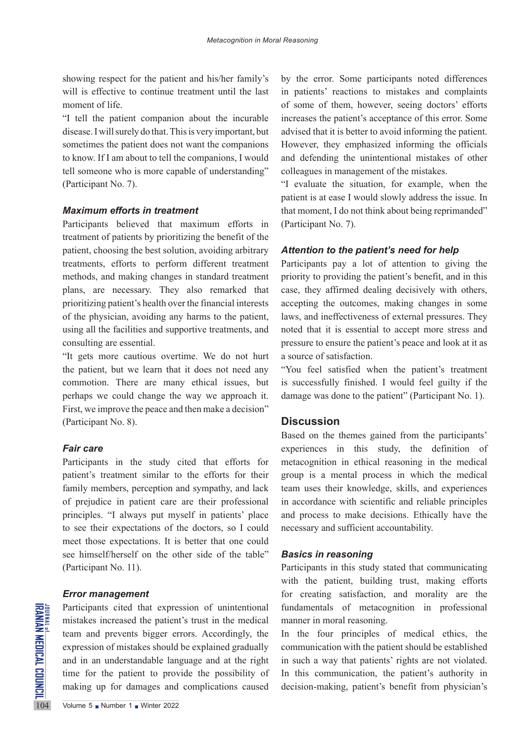showing respect for the patient and his/her family's will is effective to continue treatment until the last moment of life.

"I tell the patient companion about the incurable disease. I will surely do that. This is very important, but sometimes the patient does not want the companions to know. If I am about to tell the companions, I would tell someone who is more capable of understanding" (Participant No. 7).

### *Maximum efforts in treatment*

Participants believed that maximum efforts in treatment of patients by prioritizing the benefit of the patient, choosing the best solution, avoiding arbitrary treatments, efforts to perform different treatment methods, and making changes in standard treatment plans, are necessary. They also remarked that prioritizing patient's health over the financial interests of the physician, avoiding any harms to the patient, using all the facilities and supportive treatments, and consulting are essential.

"It gets more cautious overtime. We do not hurt the patient, but we learn that it does not need any commotion. There are many ethical issues, but perhaps we could change the way we approach it. First, we improve the peace and then make a decision" (Participant No. 8).

## *Fair care*

Participants in the study cited that efforts for patient's treatment similar to the efforts for their family members, perception and sympathy, and lack of prejudice in patient care are their professional principles. "I always put myself in patients' place to see their expectations of the doctors, so I could meet those expectations. It is better that one could see himself/herself on the other side of the table" (Participant No. 11).

## *Error management*

104 Volume 5 Number 1 Winter 2022 Participants cited that expression of unintentional mistakes increased the patient's trust in the medical team and prevents bigger errors. Accordingly, the expression of mistakes should be explained gradually and in an understandable language and at the right time for the patient to provide the possibility of making up for damages and complications caused

by the error. Some participants noted differences in patients' reactions to mistakes and complaints of some of them, however, seeing doctors' efforts increases the patient's acceptance of this error. Some advised that it is better to avoid informing the patient. However, they emphasized informing the officials and defending the unintentional mistakes of other colleagues in management of the mistakes.

"I evaluate the situation, for example, when the patient is at ease I would slowly address the issue. In that moment, I do not think about being reprimanded" (Participant No. 7).

### *Attention to the patient's need for help*

Participants pay a lot of attention to giving the priority to providing the patient's benefit, and in this case, they affirmed dealing decisively with others, accepting the outcomes, making changes in some laws, and ineffectiveness of external pressures. They noted that it is essential to accept more stress and pressure to ensure the patient's peace and look at it as a source of satisfaction.

"You feel satisfied when the patient's treatment is successfully finished. I would feel guilty if the damage was done to the patient" (Participant No. 1).

## **Discussion**

Based on the themes gained from the participants' experiences in this study, the definition of metacognition in ethical reasoning in the medical group is a mental process in which the medical team uses their knowledge, skills, and experiences in accordance with scientific and reliable principles and process to make decisions. Ethically have the necessary and sufficient accountability.

### *Basics in reasoning*

Participants in this study stated that communicating with the patient, building trust, making efforts for creating satisfaction, and morality are the fundamentals of metacognition in professional manner in moral reasoning.

In the four principles of medical ethics, the communication with the patient should be established in such a way that patients' rights are not violated. In this communication, the patient's authority in decision-making, patient's benefit from physician's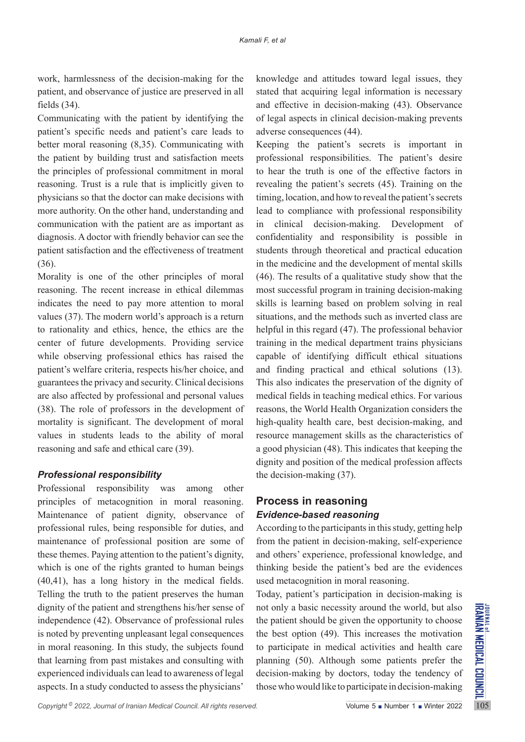work, harmlessness of the decision-making for the patient, and observance of justice are preserved in all fields (34).

Communicating with the patient by identifying the patient's specific needs and patient's care leads to better moral reasoning (8,35). Communicating with the patient by building trust and satisfaction meets the principles of professional commitment in moral reasoning. Trust is a rule that is implicitly given to physicians so that the doctor can make decisions with more authority. On the other hand, understanding and communication with the patient are as important as diagnosis. A doctor with friendly behavior can see the patient satisfaction and the effectiveness of treatment (36).

Morality is one of the other principles of moral reasoning. The recent increase in ethical dilemmas indicates the need to pay more attention to moral values (37). The modern world's approach is a return to rationality and ethics, hence, the ethics are the center of future developments. Providing service while observing professional ethics has raised the patient's welfare criteria, respects his/her choice, and guarantees the privacy and security. Clinical decisions are also affected by professional and personal values (38). The role of professors in the development of mortality is significant. The development of moral values in students leads to the ability of moral reasoning and safe and ethical care (39).

## *Professional responsibility*

dignity of the patient and strengthens his/her sense of not only a basic necessity around the world, but also<br>independence (42). Observance of professional rules the patient should be given the opportunity to choose<br>is no Professional responsibility was among other principles of metacognition in moral reasoning. Maintenance of patient dignity, observance of professional rules, being responsible for duties, and maintenance of professional position are some of these themes. Paying attention to the patient's dignity, which is one of the rights granted to human beings (40,41), has a long history in the medical fields. Telling the truth to the patient preserves the human dignity of the patient and strengthens his/her sense of independence (42). Observance of professional rules is noted by preventing unpleasant legal consequences in moral reasoning. In this study, the subjects found that learning from past mistakes and consulting with experienced individuals can lead to awareness of legal aspects. In a study conducted to assess the physicians'

knowledge and attitudes toward legal issues, they stated that acquiring legal information is necessary and effective in decision-making (43). Observance of legal aspects in clinical decision-making prevents adverse consequences (44).

Keeping the patient's secrets is important in professional responsibilities. The patient's desire to hear the truth is one of the effective factors in revealing the patient's secrets (45). Training on the timing, location, and how to reveal the patient's secrets lead to compliance with professional responsibility in clinical decision-making. Development of confidentiality and responsibility is possible in students through theoretical and practical education in the medicine and the development of mental skills (46). The results of a qualitative study show that the most successful program in training decision-making skills is learning based on problem solving in real situations, and the methods such as inverted class are helpful in this regard (47). The professional behavior training in the medical department trains physicians capable of identifying difficult ethical situations and finding practical and ethical solutions (13). This also indicates the preservation of the dignity of medical fields in teaching medical ethics. For various reasons, the World Health Organization considers the high-quality health care, best decision-making, and resource management skills as the characteristics of a good physician (48). This indicates that keeping the dignity and position of the medical profession affects the decision-making (37).

## **Process in reasoning** *Evidence-based reasoning*

According to the participants in this study, getting help from the patient in decision-making, self-experience and others' experience, professional knowledge, and thinking beside the patient's bed are the evidences used metacognition in moral reasoning.

Today, patient's participation in decision-making is not only a basic necessity around the world, but also the patient should be given the opportunity to choose the best option (49). This increases the motivation to participate in medical activities and health care planning (50). Although some patients prefer the decision-making by doctors, today the tendency of those who would like to participate in decision-making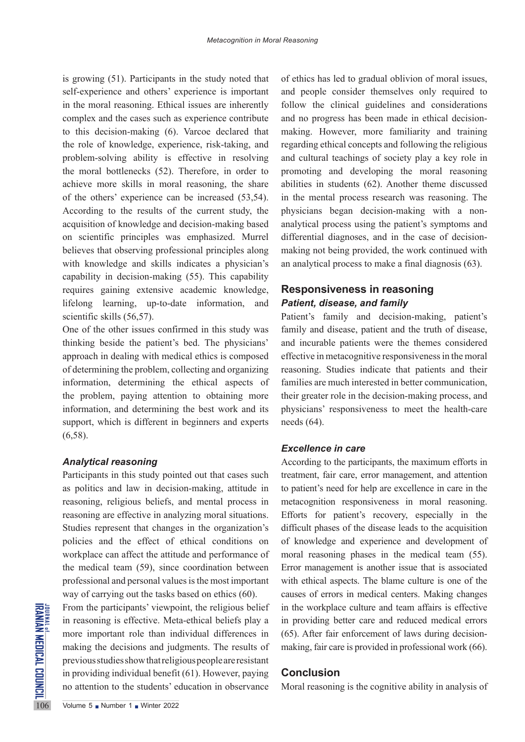is growing (51). Participants in the study noted that self-experience and others' experience is important in the moral reasoning. Ethical issues are inherently complex and the cases such as experience contribute to this decision-making (6). Varcoe declared that the role of knowledge, experience, risk-taking, and problem-solving ability is effective in resolving the moral bottlenecks (52). Therefore, in order to achieve more skills in moral reasoning, the share of the others' experience can be increased (53,54). According to the results of the current study, the acquisition of knowledge and decision-making based on scientific principles was emphasized. Murrel believes that observing professional principles along with knowledge and skills indicates a physician's capability in decision-making (55). This capability requires gaining extensive academic knowledge, lifelong learning, up-to-date information, and scientific skills (56,57).

One of the other issues confirmed in this study was thinking beside the patient's bed. The physicians' approach in dealing with medical ethics is composed of determining the problem, collecting and organizing information, determining the ethical aspects of the problem, paying attention to obtaining more information, and determining the best work and its support, which is different in beginners and experts (6,58).

#### *Analytical reasoning*

Participants in this study pointed out that cases such as politics and law in decision-making, attitude in reasoning, religious beliefs, and mental process in reasoning are effective in analyzing moral situations. Studies represent that changes in the organization's policies and the effect of ethical conditions on workplace can affect the attitude and performance of the medical team (59), since coordination between professional and personal values is the most important way of carrying out the tasks based on ethics (60).

From the participants' viewpo<br>in reasoning is effective. Met<br>more important role than inc<br>making the decisions and jud<br>previous studies show that relig<br>in providing individual benefit<br>no attention to the students' equals i From the participants' viewpoint, the religious belief in reasoning is effective. Meta-ethical beliefs play a more important role than individual differences in making the decisions and judgments. The results of previous studies show that religious people are resistant in providing individual benefit (61). However, paying no attention to the students' education in observance

of ethics has led to gradual oblivion of moral issues, and people consider themselves only required to follow the clinical guidelines and considerations and no progress has been made in ethical decisionmaking. However, more familiarity and training regarding ethical concepts and following the religious and cultural teachings of society play a key role in promoting and developing the moral reasoning abilities in students (62). Another theme discussed in the mental process research was reasoning. The physicians began decision-making with a nonanalytical process using the patient's symptoms and differential diagnoses, and in the case of decisionmaking not being provided, the work continued with an analytical process to make a final diagnosis (63).

## **Responsiveness in reasoning** *Patient, disease, and family*

Patient's family and decision-making, patient's family and disease, patient and the truth of disease, and incurable patients were the themes considered effective in metacognitive responsiveness in the moral reasoning. Studies indicate that patients and their families are much interested in better communication, their greater role in the decision-making process, and physicians' responsiveness to meet the health-care needs (64).

## *Excellence in care*

According to the participants, the maximum efforts in treatment, fair care, error management, and attention to patient's need for help are excellence in care in the metacognition responsiveness in moral reasoning. Efforts for patient's recovery, especially in the difficult phases of the disease leads to the acquisition of knowledge and experience and development of moral reasoning phases in the medical team (55). Error management is another issue that is associated with ethical aspects. The blame culture is one of the causes of errors in medical centers. Making changes in the workplace culture and team affairs is effective in providing better care and reduced medical errors (65). After fair enforcement of laws during decisionmaking, fair care is provided in professional work (66).

## **Conclusion**

Moral reasoning is the cognitive ability in analysis of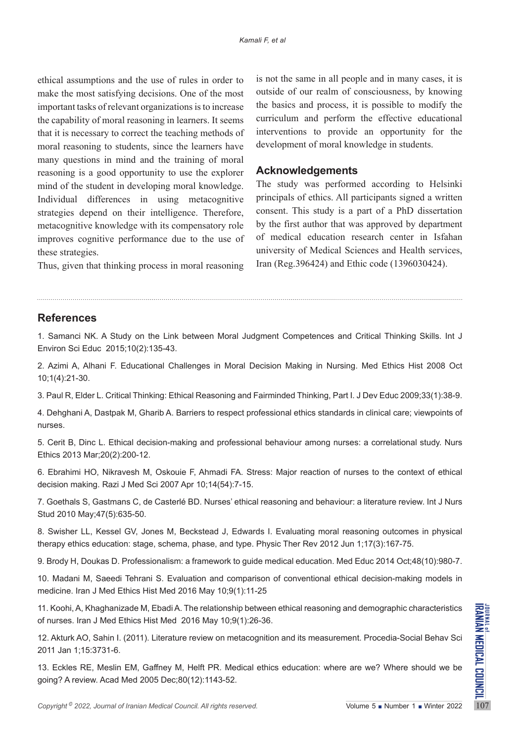ethical assumptions and the use of rules in order to make the most satisfying decisions. One of the most important tasks of relevant organizations is to increase the capability of moral reasoning in learners. It seems that it is necessary to correct the teaching methods of moral reasoning to students, since the learners have many questions in mind and the training of moral reasoning is a good opportunity to use the explorer mind of the student in developing moral knowledge. Individual differences in using metacognitive strategies depend on their intelligence. Therefore, metacognitive knowledge with its compensatory role improves cognitive performance due to the use of these strategies.

is not the same in all people and in many cases, it is outside of our realm of consciousness, by knowing the basics and process, it is possible to modify the curriculum and perform the effective educational interventions to provide an opportunity for the development of moral knowledge in students.

## **Acknowledgements**

The study was performed according to Helsinki principals of ethics. All participants signed a written consent. This study is a part of a PhD dissertation by the first author that was approved by department of medical education research center in Isfahan university of Medical Sciences and Health services, Iran (Reg.396424) and Ethic code (1396030424).

Thus, given that thinking process in moral reasoning

## **References**

1. Samanci NK. A Study on the Link between Moral Judgment Competences and Critical Thinking Skills. Int J Environ Sci Educ 2015;10(2):135-43.

2. Azimi A, Alhani F. Educational Challenges in Moral Decision Making in Nursing. Med Ethics Hist 2008 Oct 10;1(4):21-30.

3. Paul R, Elder L. Critical Thinking: Ethical Reasoning and Fairminded Thinking, Part I. J Dev Educ 2009;33(1):38-9.

4. Dehghani A, Dastpak M, Gharib A. Barriers to respect professional ethics standards in clinical care; viewpoints of nurses.

5. Cerit B, Dinc L. Ethical decision-making and professional behaviour among nurses: a correlational study. Nurs Ethics 2013 Mar;20(2):200-12.

6. Ebrahimi HO, Nikravesh M, Oskouie F, Ahmadi FA. Stress: Major reaction of nurses to the context of ethical decision making. Razi J Med Sci 2007 Apr 10;14(54):7-15.

7. Goethals S, Gastmans C, de Casterlé BD. Nurses' ethical reasoning and behaviour: a literature review. Int J Nurs Stud 2010 May;47(5):635-50.

8. Swisher LL, Kessel GV, Jones M, Beckstead J, Edwards I. Evaluating moral reasoning outcomes in physical therapy ethics education: stage, schema, phase, and type. Physic Ther Rev 2012 Jun 1;17(3):167-75.

9. Brody H, Doukas D. Professionalism: a framework to guide medical education. Med Educ 2014 Oct;48(10):980-7.

10. Madani M, Saeedi Tehrani S. Evaluation and comparison of conventional ethical decision-making models in medicine. Iran J Med Ethics Hist Med 2016 May 10;9(1):11-25

11. Koohi, A, Khaghanizade M, Ebadi A. The relationship between ethical reasoning and demographic characteristics of nurses. Iran J Med Ethics Hist Med 2016 May 10;9(1):26-36.

12. Akturk AO, Sahin I. (2011). Literature review on metacognition and its measurement. Procedia-Social Behav Sci 2011 Jan 1;15:3731-6.

11. Koohi, A, Khaghanizade M, Ebadi A. The relationship between ethical reasoning and demographic characteristics<br>
of nurses. Iran J Med Ethics Hist Med 2016 May 10;9(1):26-36.<br>
12. Akturk AO, Sahin I. (2011). Literature 13. Eckles RE, Meslin EM, Gaffney M, Helft PR. Medical ethics education: where are we? Where should we be going? A review. Acad Med 2005 Dec;80(12):1143-52.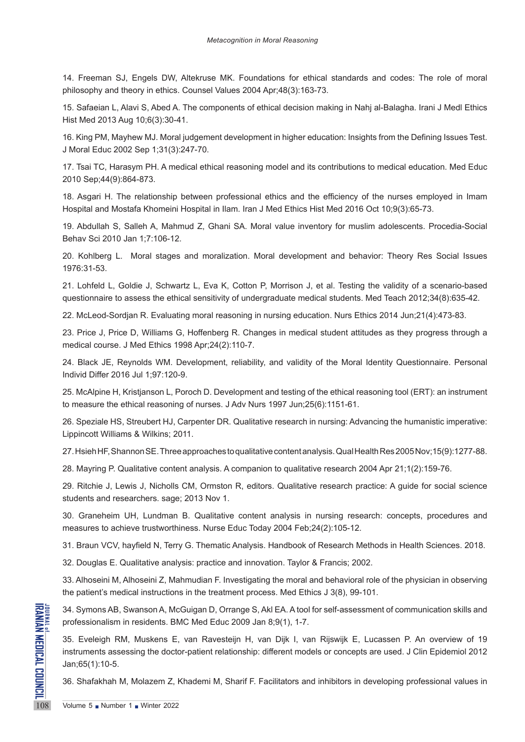14. Freeman SJ, Engels DW, Altekruse MK. Foundations for ethical standards and codes: The role of moral philosophy and theory in ethics. Counsel Values 2004 Apr;48(3):163-73.

15. Safaeian L, Alavi S, Abed A. The components of ethical decision making in Nahj al-Balagha. Irani J Medl Ethics Hist Med 2013 Aug 10;6(3):30-41.

16. King PM, Mayhew MJ. Moral judgement development in higher education: Insights from the Defining Issues Test. J Moral Educ 2002 Sep 1;31(3):247-70.

17. Tsai TC, Harasym PH. A medical ethical reasoning model and its contributions to medical education. Med Educ 2010 Sep;44(9):864-873.

18. Asgari H. The relationship between professional ethics and the efficiency of the nurses employed in Imam Hospital and Mostafa Khomeini Hospital in Ilam. Iran J Med Ethics Hist Med 2016 Oct 10;9(3):65-73.

19. Abdullah S, Salleh A, Mahmud Z, Ghani SA. Moral value inventory for muslim adolescents. Procedia-Social Behav Sci 2010 Jan 1;7:106-12.

20. Kohlberg L. Moral stages and moralization. Moral development and behavior: Theory Res Social Issues 1976:31-53.

21. Lohfeld L, Goldie J, Schwartz L, Eva K, Cotton P, Morrison J, et al. Testing the validity of a scenario-based questionnaire to assess the ethical sensitivity of undergraduate medical students. Med Teach 2012;34(8):635-42.

22. McLeod-Sordjan R. Evaluating moral reasoning in nursing education. Nurs Ethics 2014 Jun;21(4):473-83.

23. Price J, Price D, Williams G, Hoffenberg R. Changes in medical student attitudes as they progress through a medical course. J Med Ethics 1998 Apr;24(2):110-7.

24. Black JE, Reynolds WM. Development, reliability, and validity of the Moral Identity Questionnaire. Personal Individ Differ 2016 Jul 1;97:120-9.

25. McAlpine H, Kristjanson L, Poroch D. Development and testing of the ethical reasoning tool (ERT): an instrument to measure the ethical reasoning of nurses. J Adv Nurs 1997 Jun;25(6):1151-61.

26. Speziale HS, Streubert HJ, Carpenter DR. Qualitative research in nursing: Advancing the humanistic imperative: Lippincott Williams & Wilkins; 2011.

27. Hsieh HF, Shannon SE. Three approaches to qualitative content analysis. Qual Health Res 2005 Nov;15(9):1277-88.

28. Mayring P. Qualitative content analysis. A companion to qualitative research 2004 Apr 21;1(2):159-76.

29. Ritchie J, Lewis J, Nicholls CM, Ormston R, editors. Qualitative research practice: A guide for social science students and researchers. sage; 2013 Nov 1.

30. Graneheim UH, Lundman B. Qualitative content analysis in nursing research: concepts, procedures and measures to achieve trustworthiness. Nurse Educ Today 2004 Feb;24(2):105-12.

31. Braun VCV, hayfield N, Terry G. Thematic Analysis. Handbook of Research Methods in Health Sciences. 2018.

32. Douglas E. Qualitative analysis: practice and innovation. Taylor & Francis; 2002.

33. Alhoseini M, Alhoseini Z, Mahmudian F. Investigating the moral and behavioral role of the physician in observing the patient's medical instructions in the treatment process. Med Ethics J 3(8), 99-101.

34. Symons AB, Swanson A, McGuigan D, Orrange S, Akl EA. A tool for self-assessment of communication skills and professionalism in residents. BMC Med Educ 2009 Jan 8;9(1), 1-7.

34. Symons AB, Swanson A, Mc<br>
professionalism in residents. BN<br>
35. Eveleigh RM, Muskens E,<br>
instruments assessing the doctdram;<br>
36. Shafakhah M, Molazem Z, I<br>
Volume 5 Number 1 Number 2022 35. Eveleigh RM, Muskens E, van Ravesteijn H, van Dijk I, van Rijswijk E, Lucassen P. An overview of 19 instruments assessing the doctor-patient relationship: different models or concepts are used. J Clin Epidemiol 2012 Jan;65(1):10-5.

36. Shafakhah M, Molazem Z, Khademi M, Sharif F. Facilitators and inhibitors in developing professional values in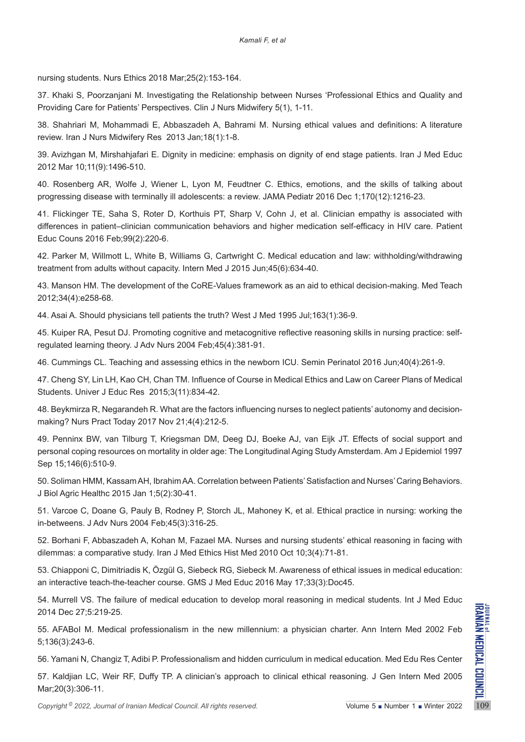nursing students. Nurs Ethics 2018 Mar;25(2):153-164.

37. Khaki S, Poorzanjani M. Investigating the Relationship between Nurses 'Professional Ethics and Quality and Providing Care for Patients' Perspectives. Clin J Nurs Midwifery 5(1), 1-11.

38. Shahriari M, Mohammadi E, Abbaszadeh A, Bahrami M. Nursing ethical values and definitions: A literature review. Iran J Nurs Midwifery Res 2013 Jan;18(1):1-8.

39. Avizhgan M, Mirshahjafari E. Dignity in medicine: emphasis on dignity of end stage patients. Iran J Med Educ 2012 Mar 10;11(9):1496-510.

40. Rosenberg AR, Wolfe J, Wiener L, Lyon M, Feudtner C. Ethics, emotions, and the skills of talking about progressing disease with terminally ill adolescents: a review. JAMA Pediatr 2016 Dec 1;170(12):1216-23.

41. Flickinger TE, Saha S, Roter D, Korthuis PT, Sharp V, Cohn J, et al. Clinician empathy is associated with differences in patient–clinician communication behaviors and higher medication self-efficacy in HIV care. Patient Educ Couns 2016 Feb;99(2):220-6.

42. Parker M, Willmott L, White B, Williams G, Cartwright C. Medical education and law: withholding/withdrawing treatment from adults without capacity. Intern Med J 2015 Jun;45(6):634-40.

43. Manson HM. The development of the CoRE-Values framework as an aid to ethical decision-making. Med Teach 2012;34(4):e258-68.

44. Asai A. Should physicians tell patients the truth? West J Med 1995 Jul;163(1):36-9.

45. Kuiper RA, Pesut DJ. Promoting cognitive and metacognitive reflective reasoning skills in nursing practice: selfregulated learning theory. J Adv Nurs 2004 Feb;45(4):381-91.

46. Cummings CL. Teaching and assessing ethics in the newborn ICU. Semin Perinatol 2016 Jun;40(4):261-9.

47. Cheng SY, Lin LH, Kao CH, Chan TM. Influence of Course in Medical Ethics and Law on Career Plans of Medical Students. Univer J Educ Res 2015;3(11):834-42.

48. Beykmirza R, Negarandeh R. What are the factors influencing nurses to neglect patients' autonomy and decisionmaking? Nurs Pract Today 2017 Nov 21;4(4):212-5.

49. Penninx BW, van Tilburg T, Kriegsman DM, Deeg DJ, Boeke AJ, van Eijk JT. Effects of social support and personal coping resources on mortality in older age: The Longitudinal Aging Study Amsterdam. Am J Epidemiol 1997 Sep 15;146(6):510-9.

50. Soliman HMM, Kassam AH, Ibrahim AA. Correlation between Patients' Satisfaction and Nurses' Caring Behaviors. J Biol Agric Healthc 2015 Jan 1;5(2):30-41.

51. Varcoe C, Doane G, Pauly B, Rodney P, Storch JL, Mahoney K, et al. Ethical practice in nursing: working the in-betweens. J Adv Nurs 2004 Feb;45(3):316-25.

52. Borhani F, Abbaszadeh A, Kohan M, Fazael MA. Nurses and nursing students' ethical reasoning in facing with dilemmas: a comparative study. Iran J Med Ethics Hist Med 2010 Oct 10;3(4):71-81.

53. Chiapponi C, Dimitriadis K, Özgül G, Siebeck RG, Siebeck M. Awareness of ethical issues in medical education: an interactive teach-the-teacher course. GMS J Med Educ 2016 May 17;33(3):Doc45.

54. Murrell VS. The failure of medical education to develop moral reasoning in medical students. Int J Med Educ 2014 Dec 27;5:219-25.

55. AFABoI M. Medical professionalism in the new millennium: a physician charter. Ann Intern Med 2002 Feb 5;136(3):243-6.

56. Yamani N, Changiz T, Adibi P. Professionalism and hidden curriculum in medical education. Med Edu Res Center

2014 Dec 27;5:219-25.<br> **Copyright 2022** - Comparison of *Iranian Medical Council. All rights reserved.* Windows 1 Windows 1 Windows 2002 Feb 5.136(3):243-6.<br>
5.136(3):243-6.<br> **Copyright 2022** - Copyright <sup>©</sup> 2022, Journal 57. Kaldjian LC, Weir RF, Duffy TP. A clinician's approach to clinical ethical reasoning. J Gen Intern Med 2005 Mar;20(3):306-11.